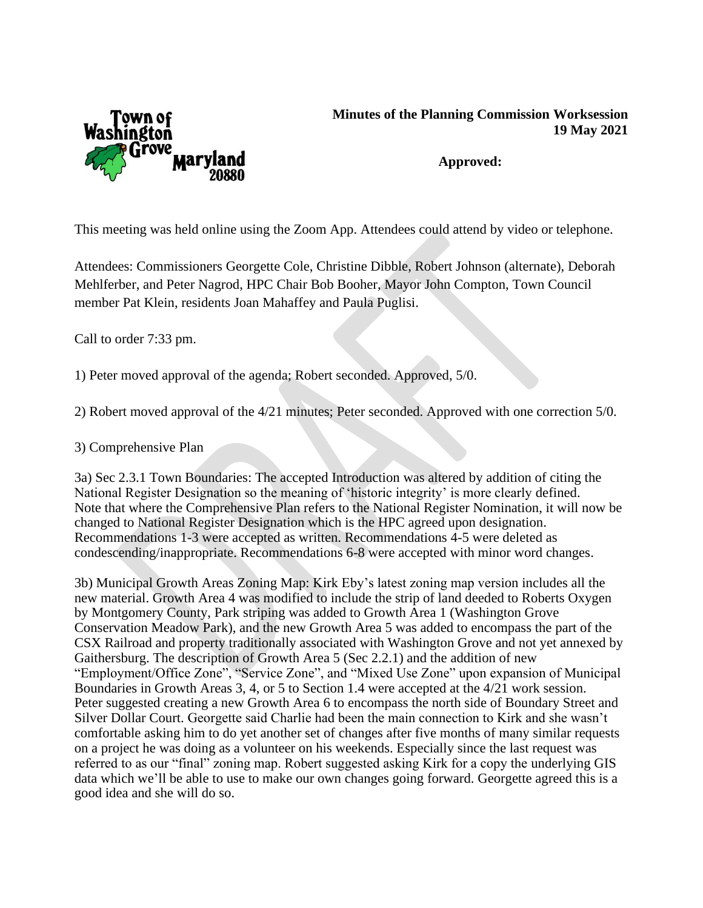

## **Minutes of the Planning Commission Worksession 19 May 2021**

**Approved:**

This meeting was held online using the Zoom App. Attendees could attend by video or telephone.

Attendees: Commissioners Georgette Cole, Christine Dibble, Robert Johnson (alternate), Deborah Mehlferber, and Peter Nagrod, HPC Chair Bob Booher, Mayor John Compton, Town Council member Pat Klein, residents Joan Mahaffey and Paula Puglisi.

Call to order 7:33 pm.

1) Peter moved approval of the agenda; Robert seconded. Approved, 5/0.

2) Robert moved approval of the 4/21 minutes; Peter seconded. Approved with one correction 5/0.

3) Comprehensive Plan

3a) Sec 2.3.1 Town Boundaries: The accepted Introduction was altered by addition of citing the National Register Designation so the meaning of 'historic integrity' is more clearly defined. Note that where the Comprehensive Plan refers to the National Register Nomination, it will now be changed to National Register Designation which is the HPC agreed upon designation. Recommendations 1-3 were accepted as written. Recommendations 4-5 were deleted as condescending/inappropriate. Recommendations 6-8 were accepted with minor word changes.

3b) Municipal Growth Areas Zoning Map: Kirk Eby's latest zoning map version includes all the new material. Growth Area 4 was modified to include the strip of land deeded to Roberts Oxygen by Montgomery County, Park striping was added to Growth Area 1 (Washington Grove Conservation Meadow Park), and the new Growth Area 5 was added to encompass the part of the CSX Railroad and property traditionally associated with Washington Grove and not yet annexed by Gaithersburg. The description of Growth Area 5 (Sec 2.2.1) and the addition of new "Employment/Office Zone", "Service Zone", and "Mixed Use Zone" upon expansion of Municipal Boundaries in Growth Areas 3, 4, or 5 to Section 1.4 were accepted at the 4/21 work session. Peter suggested creating a new Growth Area 6 to encompass the north side of Boundary Street and Silver Dollar Court. Georgette said Charlie had been the main connection to Kirk and she wasn't comfortable asking him to do yet another set of changes after five months of many similar requests on a project he was doing as a volunteer on his weekends. Especially since the last request was referred to as our "final" zoning map. Robert suggested asking Kirk for a copy the underlying GIS data which we'll be able to use to make our own changes going forward. Georgette agreed this is a good idea and she will do so.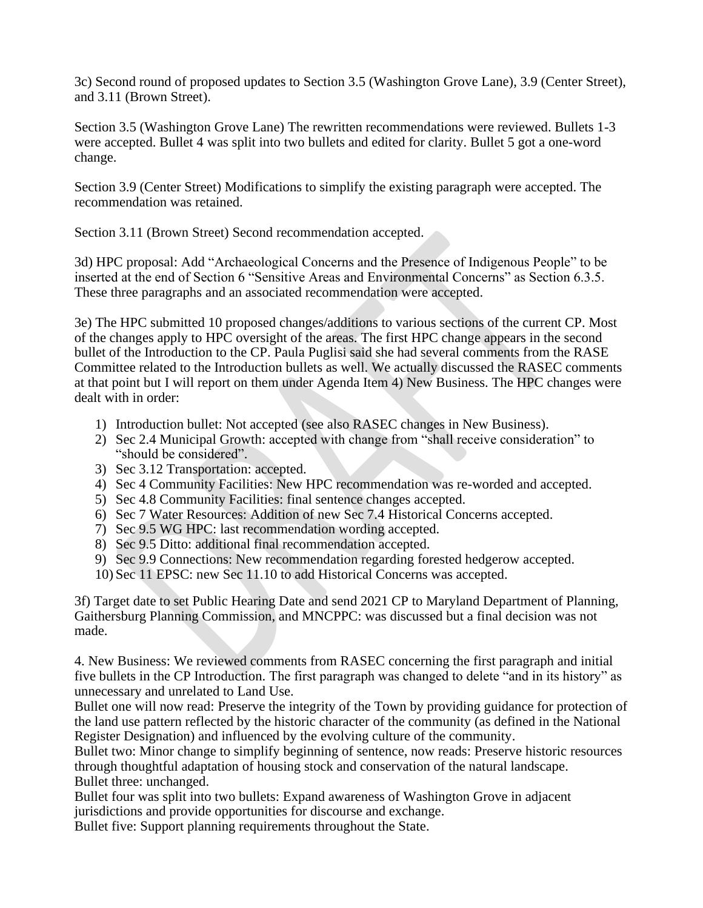3c) Second round of proposed updates to Section 3.5 (Washington Grove Lane), 3.9 (Center Street), and 3.11 (Brown Street).

Section 3.5 (Washington Grove Lane) The rewritten recommendations were reviewed. Bullets 1-3 were accepted. Bullet 4 was split into two bullets and edited for clarity. Bullet 5 got a one-word change.

Section 3.9 (Center Street) Modifications to simplify the existing paragraph were accepted. The recommendation was retained.

Section 3.11 (Brown Street) Second recommendation accepted.

3d) HPC proposal: Add "Archaeological Concerns and the Presence of Indigenous People" to be inserted at the end of Section 6 "Sensitive Areas and Environmental Concerns" as Section 6.3.5. These three paragraphs and an associated recommendation were accepted.

3e) The HPC submitted 10 proposed changes/additions to various sections of the current CP. Most of the changes apply to HPC oversight of the areas. The first HPC change appears in the second bullet of the Introduction to the CP. Paula Puglisi said she had several comments from the RASE Committee related to the Introduction bullets as well. We actually discussed the RASEC comments at that point but I will report on them under Agenda Item 4) New Business. The HPC changes were dealt with in order:

- 1) Introduction bullet: Not accepted (see also RASEC changes in New Business).
- 2) Sec 2.4 Municipal Growth: accepted with change from "shall receive consideration" to "should be considered".
- 3) Sec 3.12 Transportation: accepted.
- 4) Sec 4 Community Facilities: New HPC recommendation was re-worded and accepted.
- 5) Sec 4.8 Community Facilities: final sentence changes accepted.
- 6) Sec 7 Water Resources: Addition of new Sec 7.4 Historical Concerns accepted.
- 7) Sec 9.5 WG HPC: last recommendation wording accepted.
- 8) Sec 9.5 Ditto: additional final recommendation accepted.
- 9) Sec 9.9 Connections: New recommendation regarding forested hedgerow accepted.
- 10) Sec 11 EPSC: new Sec 11.10 to add Historical Concerns was accepted.

3f) Target date to set Public Hearing Date and send 2021 CP to Maryland Department of Planning, Gaithersburg Planning Commission, and MNCPPC: was discussed but a final decision was not made.

4. New Business: We reviewed comments from RASEC concerning the first paragraph and initial five bullets in the CP Introduction. The first paragraph was changed to delete "and in its history" as unnecessary and unrelated to Land Use.

Bullet one will now read: Preserve the integrity of the Town by providing guidance for protection of the land use pattern reflected by the historic character of the community (as defined in the National Register Designation) and influenced by the evolving culture of the community.

Bullet two: Minor change to simplify beginning of sentence, now reads: Preserve historic resources through thoughtful adaptation of housing stock and conservation of the natural landscape. Bullet three: unchanged.

Bullet four was split into two bullets: Expand awareness of Washington Grove in adjacent jurisdictions and provide opportunities for discourse and exchange.

Bullet five: Support planning requirements throughout the State.